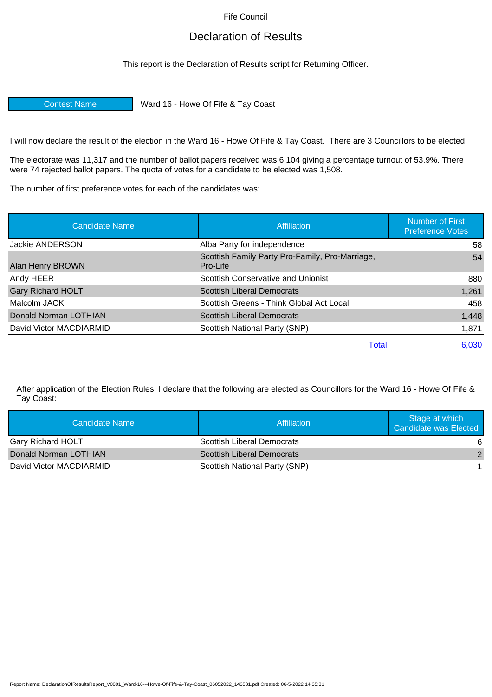Fife Council

## Declaration of Results

This report is the Declaration of Results script for Returning Officer.

Contest Name Ward 16 - Howe Of Fife & Tay Coast

I will now declare the result of the election in the Ward 16 - Howe Of Fife & Tay Coast. There are 3 Councillors to be elected.

The electorate was 11,317 and the number of ballot papers received was 6,104 giving a percentage turnout of 53.9%. There were 74 rejected ballot papers. The quota of votes for a candidate to be elected was 1,508.

The number of first preference votes for each of the candidates was:

| <b>Candidate Name</b>    | Affiliation                                                 | <b>Number of First</b><br><b>Preference Votes</b> |
|--------------------------|-------------------------------------------------------------|---------------------------------------------------|
| <b>Jackie ANDERSON</b>   | Alba Party for independence                                 | 58                                                |
| Alan Henry BROWN         | Scottish Family Party Pro-Family, Pro-Marriage,<br>Pro-Life | 54                                                |
| Andy HEER                | Scottish Conservative and Unionist                          | 880                                               |
| <b>Gary Richard HOLT</b> | <b>Scottish Liberal Democrats</b>                           | 1,261                                             |
| Malcolm JACK             | Scottish Greens - Think Global Act Local                    | 458                                               |
| Donald Norman LOTHIAN    | <b>Scottish Liberal Democrats</b>                           | 1,448                                             |
| David Victor MACDIARMID  | Scottish National Party (SNP)                               | 1,871                                             |
|                          | Total                                                       | 6,030                                             |

After application of the Election Rules, I declare that the following are elected as Councillors for the Ward 16 - Howe Of Fife & Tay Coast:

| Candidate Name           | Affiliation                       | Stage at which<br>Candidate was Elected |
|--------------------------|-----------------------------------|-----------------------------------------|
| <b>Gary Richard HOLT</b> | <b>Scottish Liberal Democrats</b> | 6                                       |
| Donald Norman LOTHIAN    | Scottish Liberal Democrats        | $\mathcal{P}$                           |
| David Victor MACDIARMID  | Scottish National Party (SNP)     |                                         |